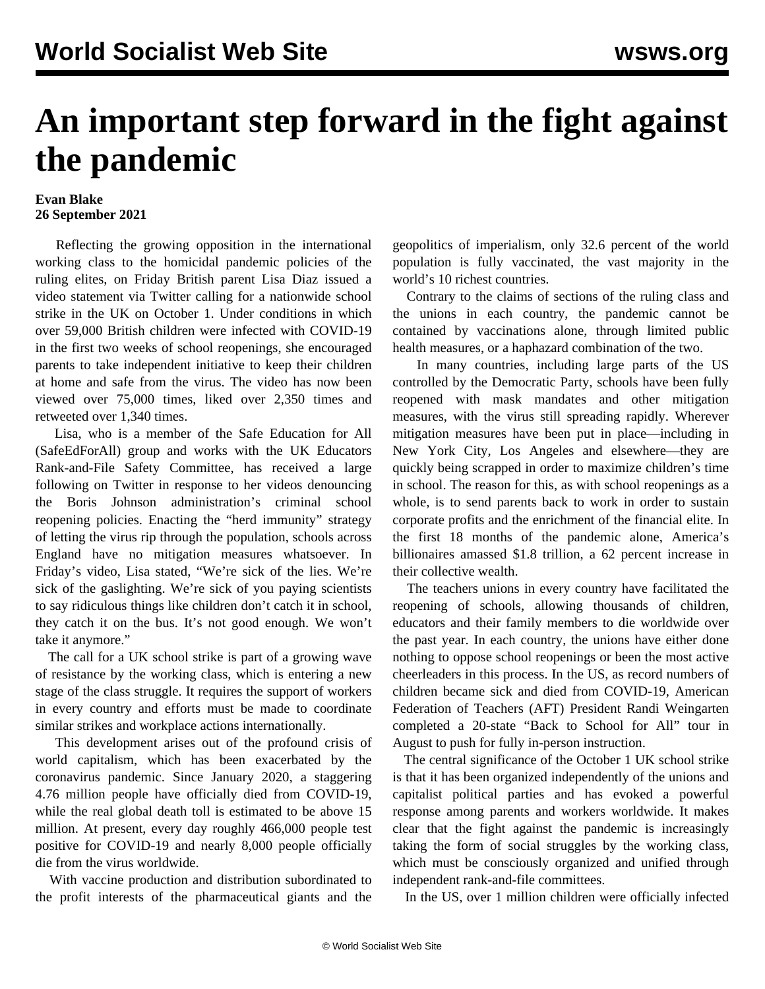## **An important step forward in the fight against the pandemic**

## **Evan Blake 26 September 2021**

 Reflecting the growing opposition in the international working class to the homicidal pandemic policies of the ruling elites, on Friday British parent Lisa Diaz [issued a](https://twitter.com/Sandyboots2020/status/1441365463473156097) [video statement via Twitter](https://twitter.com/Sandyboots2020/status/1441365463473156097) calling for a nationwide school strike in the UK on October 1. Under conditions in which over 59,000 British children were infected with COVID-19 in the first two weeks of school reopenings, she encouraged parents to take independent initiative to keep their children at home and safe from the virus. The video has now been viewed over 75,000 times, liked over 2,350 times and retweeted over 1,340 times.

 Lisa, who is a member of the Safe Education for All (SafeEdForAll) group and works with the UK Educators Rank-and-File Safety Committee, has received a large following on Twitter in response to her videos denouncing the Boris Johnson administration's criminal school reopening policies. Enacting the "herd immunity" strategy of letting the virus rip through the population, schools across England have no mitigation measures whatsoever. In Friday's video, Lisa stated, "We're sick of the lies. We're sick of the gaslighting. We're sick of you paying scientists to say ridiculous things like children don't catch it in school, they catch it on the bus. It's not good enough. We won't take it anymore."

 The call for a UK school strike is part of a growing wave of resistance by the working class, which is entering a new stage of the class struggle. It requires the support of workers in every country and efforts must be made to coordinate similar strikes and workplace actions internationally.

 This development arises out of the profound crisis of world capitalism, which has been exacerbated by the coronavirus pandemic. Since January 2020, a staggering 4.76 million people have officially died from COVID-19, while the real global death toll is estimated to be above 15 million. At present, every day roughly 466,000 people test positive for COVID-19 and nearly 8,000 people officially die from the virus worldwide.

 With vaccine production and distribution subordinated to the profit interests of the pharmaceutical giants and the geopolitics of imperialism, only 32.6 percent of the world population is fully vaccinated, the vast majority in the world's 10 richest countries.

 Contrary to the claims of sections of the ruling class and the unions in each country, the pandemic cannot be contained by vaccinations alone, through limited public health measures, or a haphazard combination of the two.

 In many countries, including large parts of the US controlled by the Democratic Party, schools have been fully reopened with mask mandates and other mitigation measures, with the virus still spreading rapidly. Wherever mitigation measures have been put in place—including in New York City, Los Angeles and elsewhere—they are quickly being scrapped in order to maximize children's time in school. The reason for this, as with school reopenings as a whole, is to send parents back to work in order to sustain corporate profits and the enrichment of the financial elite. In the first 18 months of the pandemic alone, America's billionaires amassed \$1.8 trillion, a 62 percent increase in their collective wealth.

 The teachers unions in every country have facilitated the reopening of schools, allowing thousands of children, educators and their family members to die worldwide over the past year. In each country, the unions have either done nothing to oppose school reopenings or been the most active cheerleaders in this process. In the US, as record numbers of children became sick and died from COVID-19, American Federation of Teachers (AFT) President Randi Weingarten completed a 20-state "Back to School for All" tour in August to push for fully in-person instruction.

 The central significance of the October 1 UK school strike is that it has been organized independently of the unions and capitalist political parties and has evoked a powerful response among parents and workers worldwide. It makes clear that the fight against the pandemic is increasingly taking the form of social struggles by the working class, which must be consciously organized and unified through independent rank-and-file committees.

In the US, over 1 million children were officially infected